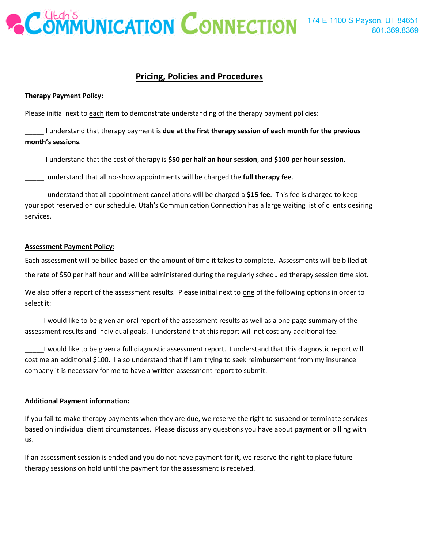

# **Pricing, Policies and Procedures**

### **Therapy Payment Policy:**

Please initial next to each item to demonstrate understanding of the therapy payment policies:

\_\_\_\_\_ I understand that therapy payment is **due at the first therapy session of each month for the previous month's sessions**.

\_\_\_\_\_ I understand that the cost of therapy is **\$50 per half an hour session**, and **\$100 per hour session**.

\_\_\_\_\_I understand that all no-show appointments will be charged the **full therapy fee**.

\_\_\_\_\_I understand that all appointment cancella�ons will be charged a **\$15 fee**. This fee is charged to keep your spot reserved on our schedule. Utah's Communication Connection has a large waiting list of clients desiring services.

### **Assessment Payment Policy:**

Each assessment will be billed based on the amount of time it takes to complete. Assessments will be billed at the rate of \$50 per half hour and will be administered during the regularly scheduled therapy session time slot.

We also offer a report of the assessment results. Please initial next to one of the following options in order to select it:

\_\_\_\_\_I would like to be given an oral report of the assessment results as well as a one page summary of the assessment results and individual goals. I understand that this report will not cost any additional fee.

\_\_\_\_\_I would like to be given a full diagnos�c assessment report. I understand that this diagnos�c report will cost me an additional \$100. I also understand that if I am trying to seek reimbursement from my insurance company it is necessary for me to have a written assessment report to submit.

### **Addi�onal Payment informa�on:**

If you fail to make therapy payments when they are due, we reserve the right to suspend or terminate services based on individual client circumstances. Please discuss any questions you have about payment or billing with us.

If an assessment session is ended and you do not have payment for it, we reserve the right to place future therapy sessions on hold until the payment for the assessment is received.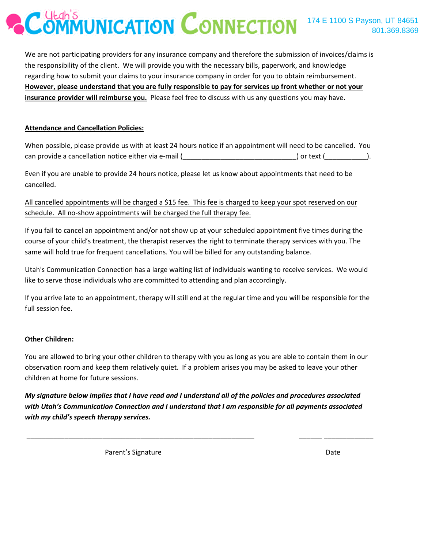We are not participating providers for any insurance company and therefore the submission of invoices/claims is the responsibility of the client. We will provide you with the necessary bills, paperwork, and knowledge regarding how to submit your claims to your insurance company in order for you to obtain reimbursement. **However, please understand that you are fully responsible to pay for services up front whether or not your insurance provider will reimburse you.** Please feel free to discuss with us any questions you may have.

## **Attendance and Cancellation Policies:**

When possible, please provide us with at least 24 hours notice if an appointment will need to be cancelled. You can provide a cancellation notice either via e-mail ( and ) or text ( and ) or text ( and ).

Even if you are unable to provide 24 hours notice, please let us know about appointments that need to be cancelled.

All cancelled appointments will be charged a \$15 fee. This fee is charged to keep your spot reserved on our schedule. All no-show appointments will be charged the full therapy fee.

If you fail to cancel an appointment and/or not show up at your scheduled appointment five times during the course of your child's treatment, the therapist reserves the right to terminate therapy services with you. The same will hold true for frequent cancellations. You will be billed for any outstanding balance.

Utah's Communication Connection has a large waiting list of individuals wanting to receive services. We would like to serve those individuals who are committed to attending and plan accordingly.

If you arrive late to an appointment, therapy will still end at the regular time and you will be responsible for the full session fee.

## **Other Children:**

You are allowed to bring your other children to therapy with you as long as you are able to contain them in our observation room and keep them relatively quiet. If a problem arises you may be asked to leave your other children at home for future sessions.

*My signature below implies that I have read and I understand all of the policies and procedures associated with Utah's Communication Connection and I understand that I am responsible for all payments associated with my child's speech therapy services.* 

\_\_\_\_\_\_\_\_\_\_\_\_\_\_\_\_\_\_\_\_\_\_\_\_\_\_\_\_\_\_\_\_\_\_\_\_\_\_\_\_\_\_\_\_\_\_\_\_\_\_\_\_\_\_\_\_\_\_\_\_ \_\_\_\_\_\_ \_\_\_\_\_\_\_\_\_\_\_\_\_

Parent's Signature Date Date Date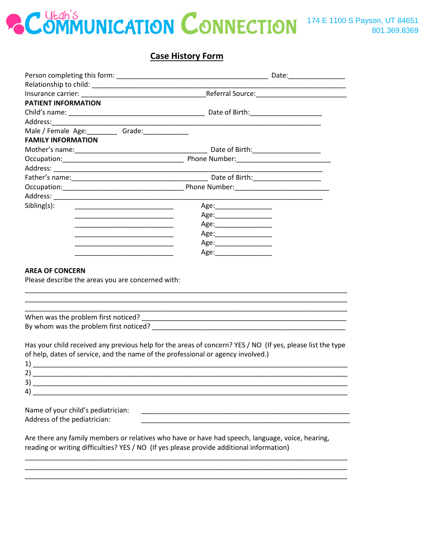

# **Case History Form**

|                                                                                                                                                                                                                      | Insurance carrier: etc. All and the Referral Source: All and the Referral Source:                          |  |  |  |  |
|----------------------------------------------------------------------------------------------------------------------------------------------------------------------------------------------------------------------|------------------------------------------------------------------------------------------------------------|--|--|--|--|
| PATIENT INFORMATION                                                                                                                                                                                                  |                                                                                                            |  |  |  |  |
|                                                                                                                                                                                                                      |                                                                                                            |  |  |  |  |
|                                                                                                                                                                                                                      |                                                                                                            |  |  |  |  |
| Male / Female Age: ___________ Grade: ________________                                                                                                                                                               |                                                                                                            |  |  |  |  |
| <b>FAMILY INFORMATION</b>                                                                                                                                                                                            |                                                                                                            |  |  |  |  |
|                                                                                                                                                                                                                      |                                                                                                            |  |  |  |  |
|                                                                                                                                                                                                                      |                                                                                                            |  |  |  |  |
|                                                                                                                                                                                                                      |                                                                                                            |  |  |  |  |
|                                                                                                                                                                                                                      |                                                                                                            |  |  |  |  |
|                                                                                                                                                                                                                      |                                                                                                            |  |  |  |  |
|                                                                                                                                                                                                                      |                                                                                                            |  |  |  |  |
| Sibling(s):<br><u> De Barbara (1995) e la propia de la propia de la propia de la propia de la propia de la propia de la propia d</u>                                                                                 |                                                                                                            |  |  |  |  |
|                                                                                                                                                                                                                      | Age:__________________                                                                                     |  |  |  |  |
| <u> 1989 - Johann Stein, mars et al. (1989)</u>                                                                                                                                                                      |                                                                                                            |  |  |  |  |
|                                                                                                                                                                                                                      |                                                                                                            |  |  |  |  |
| <u> 1989 - Johann John Stone, markin amerikan bahasa per</u>                                                                                                                                                         | Age:_________________                                                                                      |  |  |  |  |
|                                                                                                                                                                                                                      |                                                                                                            |  |  |  |  |
|                                                                                                                                                                                                                      |                                                                                                            |  |  |  |  |
| <b>AREA OF CONCERN</b><br>Please describe the areas you are concerned with:                                                                                                                                          |                                                                                                            |  |  |  |  |
|                                                                                                                                                                                                                      |                                                                                                            |  |  |  |  |
| of help, dates of service, and the name of the professional or agency involved.)<br>3)<br><u> 1980 - Johann John Harry, mars ar yw i ganwys y cyfan y ganwys y cyfan y ganwys y cyfan y ganwys y cyfan y g</u><br>4) | Has your child received any previous help for the areas of concern? YES / NO (If yes, please list the type |  |  |  |  |
| Name of your child's pediatrician:<br>Address of the pediatrician:<br>Are there any family members or relatives who have or have had speech, language, voice, hearing,                                               |                                                                                                            |  |  |  |  |
| reading or writing difficulties? YES / NO (If yes please provide additional information)                                                                                                                             |                                                                                                            |  |  |  |  |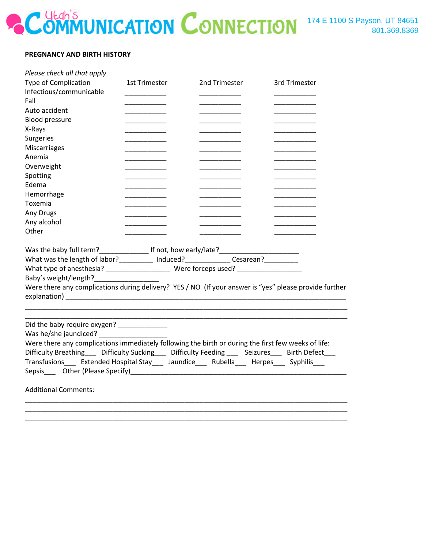### **PREGNANCY AND BIRTH HISTORY**

| Please check all that apply<br><b>Type of Complication</b><br>Infectious/communicable<br>Fall<br>Auto accident<br><b>Blood pressure</b><br>X-Rays<br>Surgeries<br>Miscarriages                                                                                                                                                                      | <b>1st Trimester</b> | 2nd Trimester | 3rd Trimester |  |  |
|-----------------------------------------------------------------------------------------------------------------------------------------------------------------------------------------------------------------------------------------------------------------------------------------------------------------------------------------------------|----------------------|---------------|---------------|--|--|
| Anemia                                                                                                                                                                                                                                                                                                                                              |                      |               |               |  |  |
| Overweight                                                                                                                                                                                                                                                                                                                                          |                      |               |               |  |  |
| Spotting<br>Edema                                                                                                                                                                                                                                                                                                                                   |                      |               |               |  |  |
| Hemorrhage                                                                                                                                                                                                                                                                                                                                          |                      |               |               |  |  |
| Toxemia                                                                                                                                                                                                                                                                                                                                             |                      |               |               |  |  |
| Any Drugs                                                                                                                                                                                                                                                                                                                                           |                      |               |               |  |  |
| Any alcohol                                                                                                                                                                                                                                                                                                                                         |                      |               |               |  |  |
| Other                                                                                                                                                                                                                                                                                                                                               |                      |               |               |  |  |
| Was the baby full term?___________________ If not, how early/late?__________________________________<br>What was the length of labor?__________ Induced?_______________Cesarean?_________<br>Baby's weight/length?<br>Were there any complications during delivery? YES / NO (If your answer is "yes" please provide further                        |                      |               |               |  |  |
| Did the baby require oxygen? ______________<br>Were there any complications immediately following the birth or during the first few weeks of life:<br>Difficulty Breathing___ Difficulty Sucking___ Difficulty Feeding ___ Seizures___ Birth Defect___<br>Transfusions____ Extended Hospital Stay____ Jaundice____ Rubella___ Herpes___ Syphilis___ |                      |               |               |  |  |
| <b>Additional Comments:</b>                                                                                                                                                                                                                                                                                                                         |                      |               |               |  |  |
|                                                                                                                                                                                                                                                                                                                                                     |                      |               |               |  |  |

\_\_\_\_\_\_\_\_\_\_\_\_\_\_\_\_\_\_\_\_\_\_\_\_\_\_\_\_\_\_\_\_\_\_\_\_\_\_\_\_\_\_\_\_\_\_\_\_\_\_\_\_\_\_\_\_\_\_\_\_\_\_\_\_\_\_\_\_\_\_\_\_\_\_\_\_\_\_\_\_\_\_\_\_\_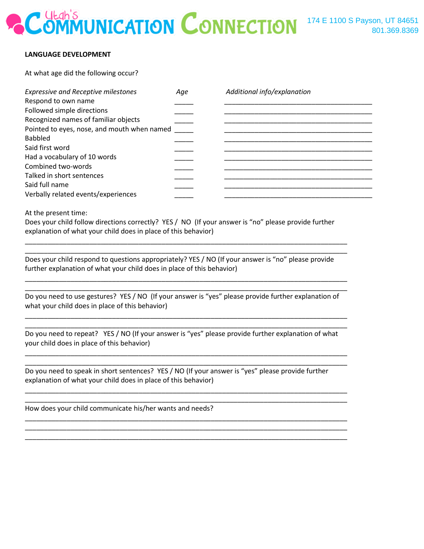### **LANGUAGE DEVELOPMENT**

At what age did the following occur?

| <b>Expressive and Receptive milestones</b>  | Age | Additional info/explanation |
|---------------------------------------------|-----|-----------------------------|
| Respond to own name                         |     |                             |
| Followed simple directions                  |     |                             |
| Recognized names of familiar objects        |     |                             |
| Pointed to eyes, nose, and mouth when named |     |                             |
| <b>Babbled</b>                              |     |                             |
| Said first word                             |     |                             |
| Had a vocabulary of 10 words                |     |                             |
| Combined two-words                          |     |                             |
| Talked in short sentences                   |     |                             |
| Said full name                              |     |                             |
| Verbally related events/experiences         |     |                             |

At the present time:

Does your child follow directions correctly? YES / NO (If your answer is "no" please provide further explanation of what your child does in place of this behavior)

\_\_\_\_\_\_\_\_\_\_\_\_\_\_\_\_\_\_\_\_\_\_\_\_\_\_\_\_\_\_\_\_\_\_\_\_\_\_\_\_\_\_\_\_\_\_\_\_\_\_\_\_\_\_\_\_\_\_\_\_\_\_\_\_\_\_\_\_\_\_\_\_\_\_\_\_\_\_\_\_\_\_\_\_\_ \_\_\_\_\_\_\_\_\_\_\_\_\_\_\_\_\_\_\_\_\_\_\_\_\_\_\_\_\_\_\_\_\_\_\_\_\_\_\_\_\_\_\_\_\_\_\_\_\_\_\_\_\_\_\_\_\_\_\_\_\_\_\_\_\_\_\_\_\_\_\_\_\_\_\_\_\_\_\_\_\_\_\_\_\_

\_\_\_\_\_\_\_\_\_\_\_\_\_\_\_\_\_\_\_\_\_\_\_\_\_\_\_\_\_\_\_\_\_\_\_\_\_\_\_\_\_\_\_\_\_\_\_\_\_\_\_\_\_\_\_\_\_\_\_\_\_\_\_\_\_\_\_\_\_\_\_\_\_\_\_\_\_\_\_\_\_\_\_\_\_ \_\_\_\_\_\_\_\_\_\_\_\_\_\_\_\_\_\_\_\_\_\_\_\_\_\_\_\_\_\_\_\_\_\_\_\_\_\_\_\_\_\_\_\_\_\_\_\_\_\_\_\_\_\_\_\_\_\_\_\_\_\_\_\_\_\_\_\_\_\_\_\_\_\_\_\_\_\_\_\_\_\_\_\_\_

Does your child respond to questions appropriately? YES / NO (If your answer is "no" please provide further explanation of what your child does in place of this behavior)

Do you need to use gestures? YES / NO (If your answer is "yes" please provide further explanation of what your child does in place of this behavior)

\_\_\_\_\_\_\_\_\_\_\_\_\_\_\_\_\_\_\_\_\_\_\_\_\_\_\_\_\_\_\_\_\_\_\_\_\_\_\_\_\_\_\_\_\_\_\_\_\_\_\_\_\_\_\_\_\_\_\_\_\_\_\_\_\_\_\_\_\_\_\_\_\_\_\_\_\_\_\_\_\_\_\_\_\_ \_\_\_\_\_\_\_\_\_\_\_\_\_\_\_\_\_\_\_\_\_\_\_\_\_\_\_\_\_\_\_\_\_\_\_\_\_\_\_\_\_\_\_\_\_\_\_\_\_\_\_\_\_\_\_\_\_\_\_\_\_\_\_\_\_\_\_\_\_\_\_\_\_\_\_\_\_\_\_\_\_\_\_\_\_

Do you need to repeat? YES / NO (If your answer is "yes" please provide further explanation of what your child does in place of this behavior)

\_\_\_\_\_\_\_\_\_\_\_\_\_\_\_\_\_\_\_\_\_\_\_\_\_\_\_\_\_\_\_\_\_\_\_\_\_\_\_\_\_\_\_\_\_\_\_\_\_\_\_\_\_\_\_\_\_\_\_\_\_\_\_\_\_\_\_\_\_\_\_\_\_\_\_\_\_\_\_\_\_\_\_\_\_ \_\_\_\_\_\_\_\_\_\_\_\_\_\_\_\_\_\_\_\_\_\_\_\_\_\_\_\_\_\_\_\_\_\_\_\_\_\_\_\_\_\_\_\_\_\_\_\_\_\_\_\_\_\_\_\_\_\_\_\_\_\_\_\_\_\_\_\_\_\_\_\_\_\_\_\_\_\_\_\_\_\_\_\_\_

\_\_\_\_\_\_\_\_\_\_\_\_\_\_\_\_\_\_\_\_\_\_\_\_\_\_\_\_\_\_\_\_\_\_\_\_\_\_\_\_\_\_\_\_\_\_\_\_\_\_\_\_\_\_\_\_\_\_\_\_\_\_\_\_\_\_\_\_\_\_\_\_\_\_\_\_\_\_\_\_\_\_\_\_\_ \_\_\_\_\_\_\_\_\_\_\_\_\_\_\_\_\_\_\_\_\_\_\_\_\_\_\_\_\_\_\_\_\_\_\_\_\_\_\_\_\_\_\_\_\_\_\_\_\_\_\_\_\_\_\_\_\_\_\_\_\_\_\_\_\_\_\_\_\_\_\_\_\_\_\_\_\_\_\_\_\_\_\_\_\_

\_\_\_\_\_\_\_\_\_\_\_\_\_\_\_\_\_\_\_\_\_\_\_\_\_\_\_\_\_\_\_\_\_\_\_\_\_\_\_\_\_\_\_\_\_\_\_\_\_\_\_\_\_\_\_\_\_\_\_\_\_\_\_\_\_\_\_\_\_\_\_\_\_\_\_\_\_\_\_\_\_\_\_\_\_ \_\_\_\_\_\_\_\_\_\_\_\_\_\_\_\_\_\_\_\_\_\_\_\_\_\_\_\_\_\_\_\_\_\_\_\_\_\_\_\_\_\_\_\_\_\_\_\_\_\_\_\_\_\_\_\_\_\_\_\_\_\_\_\_\_\_\_\_\_\_\_\_\_\_\_\_\_\_\_\_\_\_\_\_\_ \_\_\_\_\_\_\_\_\_\_\_\_\_\_\_\_\_\_\_\_\_\_\_\_\_\_\_\_\_\_\_\_\_\_\_\_\_\_\_\_\_\_\_\_\_\_\_\_\_\_\_\_\_\_\_\_\_\_\_\_\_\_\_\_\_\_\_\_\_\_\_\_\_\_\_\_\_\_\_\_\_\_\_\_\_

Do you need to speak in short sentences? YES / NO (If your answer is "yes" please provide further explanation of what your child does in place of this behavior)

How does your child communicate his/her wants and needs?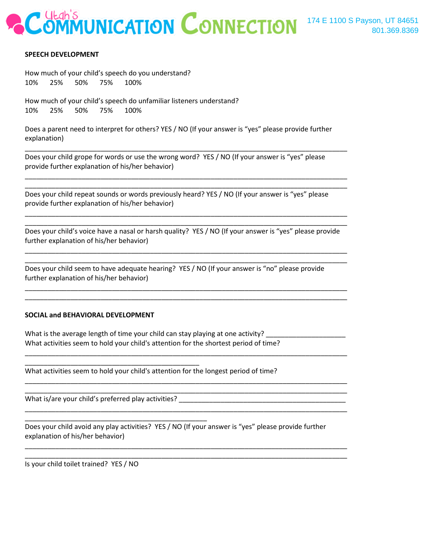### **SPEECH DEVELOPMENT**

How much of your child's speech do you understand? 10% 25% 50% 75% 100%

How much of your child's speech do unfamiliar listeners understand? 10% 25% 50% 75% 100%

Does a parent need to interpret for others? YES / NO (If your answer is "yes" please provide further explanation)

\_\_\_\_\_\_\_\_\_\_\_\_\_\_\_\_\_\_\_\_\_\_\_\_\_\_\_\_\_\_\_\_\_\_\_\_\_\_\_\_\_\_\_\_\_\_\_\_\_\_\_\_\_\_\_\_\_\_\_\_\_\_\_\_\_\_\_\_\_\_\_\_\_\_\_\_\_\_\_\_\_\_\_\_\_

\_\_\_\_\_\_\_\_\_\_\_\_\_\_\_\_\_\_\_\_\_\_\_\_\_\_\_\_\_\_\_\_\_\_\_\_\_\_\_\_\_\_\_\_\_\_\_\_\_\_\_\_\_\_\_\_\_\_\_\_\_\_\_\_\_\_\_\_\_\_\_\_\_\_\_\_\_\_\_\_\_\_\_\_\_ \_\_\_\_\_\_\_\_\_\_\_\_\_\_\_\_\_\_\_\_\_\_\_\_\_\_\_\_\_\_\_\_\_\_\_\_\_\_\_\_\_\_\_\_\_\_\_\_\_\_\_\_\_\_\_\_\_\_\_\_\_\_\_\_\_\_\_\_\_\_\_\_\_\_\_\_\_\_\_\_\_\_\_\_\_

\_\_\_\_\_\_\_\_\_\_\_\_\_\_\_\_\_\_\_\_\_\_\_\_\_\_\_\_\_\_\_\_\_\_\_\_\_\_\_\_\_\_\_\_\_\_\_\_\_\_\_\_\_\_\_\_\_\_\_\_\_\_\_\_\_\_\_\_\_\_\_\_\_\_\_\_\_\_\_\_\_\_\_\_\_ \_\_\_\_\_\_\_\_\_\_\_\_\_\_\_\_\_\_\_\_\_\_\_\_\_\_\_\_\_\_\_\_\_\_\_\_\_\_\_\_\_\_\_\_\_\_\_\_\_\_\_\_\_\_\_\_\_\_\_\_\_\_\_\_\_\_\_\_\_\_\_\_\_\_\_\_\_\_\_\_\_\_\_\_\_

Does your child grope for words or use the wrong word? YES / NO (If your answer is "yes" please provide further explanation of his/her behavior)

Does your child repeat sounds or words previously heard? YES / NO (If your answer is "yes" please provide further explanation of his/her behavior)

Does your child's voice have a nasal or harsh quality? YES / NO (If your answer is "yes" please provide further explanation of his/her behavior)

\_\_\_\_\_\_\_\_\_\_\_\_\_\_\_\_\_\_\_\_\_\_\_\_\_\_\_\_\_\_\_\_\_\_\_\_\_\_\_\_\_\_\_\_\_\_\_\_\_\_\_\_\_\_\_\_\_\_\_\_\_\_\_\_\_\_\_\_\_\_\_\_\_\_\_\_\_\_\_\_\_\_\_\_\_ \_\_\_\_\_\_\_\_\_\_\_\_\_\_\_\_\_\_\_\_\_\_\_\_\_\_\_\_\_\_\_\_\_\_\_\_\_\_\_\_\_\_\_\_\_\_\_\_\_\_\_\_\_\_\_\_\_\_\_\_\_\_\_\_\_\_\_\_\_\_\_\_\_\_\_\_\_\_\_\_\_\_\_\_\_

\_\_\_\_\_\_\_\_\_\_\_\_\_\_\_\_\_\_\_\_\_\_\_\_\_\_\_\_\_\_\_\_\_\_\_\_\_\_\_\_\_\_\_\_\_\_\_\_\_\_\_\_\_\_\_\_\_\_\_\_\_\_\_\_\_\_\_\_\_\_\_\_\_\_\_\_\_\_\_\_\_\_\_\_\_ \_\_\_\_\_\_\_\_\_\_\_\_\_\_\_\_\_\_\_\_\_\_\_\_\_\_\_\_\_\_\_\_\_\_\_\_\_\_\_\_\_\_\_\_\_\_\_\_\_\_\_\_\_\_\_\_\_\_\_\_\_\_\_\_\_\_\_\_\_\_\_\_\_\_\_\_\_\_\_\_\_\_\_\_\_

Does your child seem to have adequate hearing? YES / NO (If your answer is "no" please provide further explanation of his/her behavior)

### **SOCIAL and BEHAVIORAL DEVELOPMENT**

What is the average length of time your child can stay playing at one activity? \_\_\_\_\_\_ What activities seem to hold your child's attention for the shortest period of time?

\_\_\_\_\_\_\_\_\_\_\_\_\_\_\_\_\_\_\_\_\_\_\_\_\_\_\_\_\_\_\_\_\_\_\_\_\_\_\_\_\_\_\_\_\_\_\_\_\_\_\_\_\_\_\_\_\_\_\_\_\_\_\_\_\_\_\_\_\_\_\_\_\_\_\_\_\_\_\_\_\_\_\_\_\_

\_\_\_\_\_\_\_\_\_\_\_\_\_\_\_\_\_\_\_\_\_\_\_\_\_\_\_\_\_\_\_\_\_\_\_\_\_\_\_\_\_\_\_\_\_\_\_\_\_\_\_\_\_\_\_\_\_\_\_\_\_\_\_\_\_\_\_\_\_\_\_\_\_\_\_\_\_\_\_\_\_\_\_\_\_ \_\_\_\_\_\_\_\_\_\_\_\_\_\_\_\_\_\_\_\_\_\_\_\_\_\_\_\_\_\_\_\_\_\_\_\_\_\_\_\_\_\_\_\_\_\_\_\_\_\_\_\_\_\_\_\_\_\_\_\_\_\_\_\_\_\_\_\_\_\_\_\_\_\_\_\_\_\_\_\_\_\_\_\_\_

\_\_\_\_\_\_\_\_\_\_\_\_\_\_\_\_\_\_\_\_\_\_\_\_\_\_\_\_\_\_\_\_\_\_\_\_\_\_\_\_\_\_\_\_\_\_\_\_\_\_\_\_\_\_\_\_\_\_\_\_\_\_\_\_\_\_\_\_\_\_\_\_\_\_\_\_\_\_\_\_\_\_\_\_\_

\_\_\_\_\_\_\_\_\_\_\_\_\_\_\_\_\_\_\_\_\_\_\_\_\_\_\_\_\_\_\_\_\_\_\_\_\_\_\_\_\_\_\_\_\_\_\_\_\_\_\_\_\_\_\_\_\_\_\_\_\_\_\_\_\_\_\_\_\_\_\_\_\_\_\_\_\_\_\_\_\_\_\_\_\_ \_\_\_\_\_\_\_\_\_\_\_\_\_\_\_\_\_\_\_\_\_\_\_\_\_\_\_\_\_\_\_\_\_\_\_\_\_\_\_\_\_\_\_\_\_\_\_\_\_\_\_\_\_\_\_\_\_\_\_\_\_\_\_\_\_\_\_\_\_\_\_\_\_\_\_\_\_\_\_\_\_\_\_\_\_

What activities seem to hold your child's attention for the longest period of time?

What is/are your child's preferred play activities? \_\_\_\_\_\_\_\_\_\_\_\_\_\_\_\_\_\_\_\_\_\_\_\_\_\_\_\_

\_\_\_\_\_\_\_\_\_\_\_\_\_\_\_\_\_\_\_\_\_\_\_\_\_\_\_\_\_\_\_\_\_\_\_\_\_\_\_\_\_\_\_\_\_\_

\_\_\_\_\_\_\_\_\_\_\_\_\_\_\_\_\_\_\_\_\_\_\_\_\_\_\_\_\_\_\_\_\_\_\_\_\_\_\_\_\_\_\_\_\_\_\_\_

Does your child avoid any play activities? YES / NO (If your answer is "yes" please provide further explanation of his/her behavior)

Is your child toilet trained? YES / NO